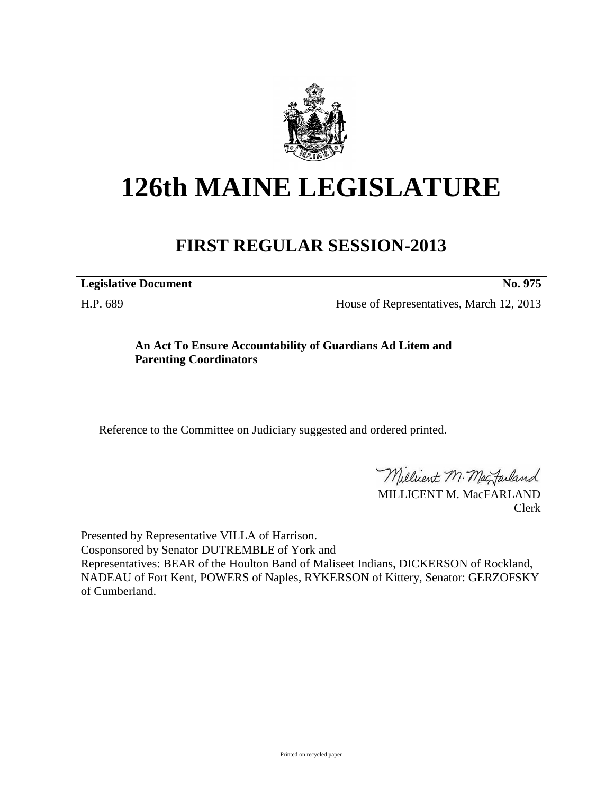

## **126th MAINE LEGISLATURE**

## **FIRST REGULAR SESSION-2013**

**Legislative Document No. 975**

H.P. 689 House of Representatives, March 12, 2013

## **An Act To Ensure Accountability of Guardians Ad Litem and Parenting Coordinators**

Reference to the Committee on Judiciary suggested and ordered printed.

Millicent M. MacJarland

MILLICENT M. MacFARLAND Clerk

Presented by Representative VILLA of Harrison. Cosponsored by Senator DUTREMBLE of York and Representatives: BEAR of the Houlton Band of Maliseet Indians, DICKERSON of Rockland, NADEAU of Fort Kent, POWERS of Naples, RYKERSON of Kittery, Senator: GERZOFSKY of Cumberland.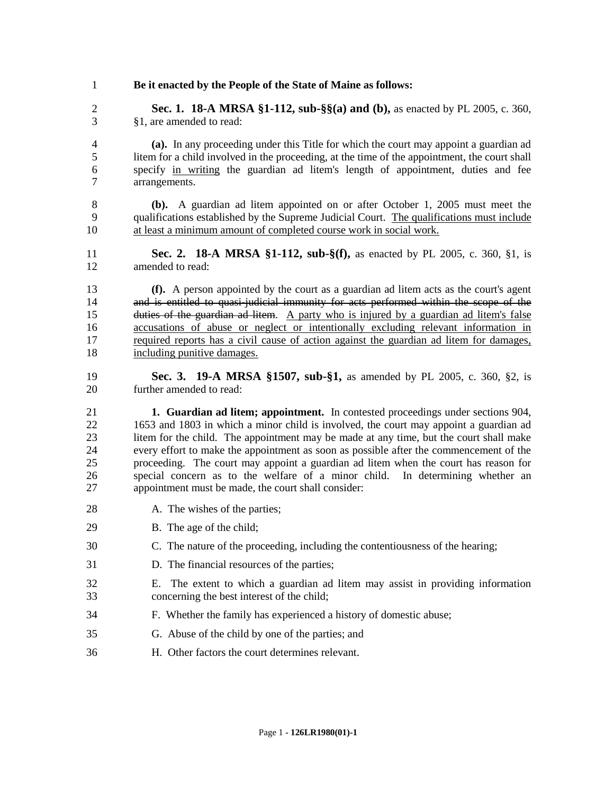**Be it enacted by the People of the State of Maine as follows: Sec. 1. 18-A MRSA §1-112, sub-§§(a) and (b),** as enacted by PL 2005, c. 360, §1, are amended to read: **(a).** In any proceeding under this Title for which the court may appoint a guardian ad litem for a child involved in the proceeding, at the time of the appointment, the court shall specify in writing the guardian ad litem's length of appointment, duties and fee arrangements. **(b).** A guardian ad litem appointed on or after October 1, 2005 must meet the qualifications established by the Supreme Judicial Court. The qualifications must include at least a minimum amount of completed course work in social work. **Sec. 2. 18-A MRSA §1-112, sub-§(f),** as enacted by PL 2005, c. 360, §1, is amended to read: **(f).** A person appointed by the court as a guardian ad litem acts as the court's agent and is entitled to quasi-judicial immunity for acts performed within the scope of the duties of the guardian ad litem. A party who is injured by a guardian ad litem's false accusations of abuse or neglect or intentionally excluding relevant information in required reports has a civil cause of action against the guardian ad litem for damages, including punitive damages. **Sec. 3. 19-A MRSA §1507, sub-§1,** as amended by PL 2005, c. 360, §2, is further amended to read: **1. Guardian ad litem; appointment.** In contested proceedings under sections 904, 1653 and 1803 in which a minor child is involved, the court may appoint a guardian ad litem for the child. The appointment may be made at any time, but the court shall make every effort to make the appointment as soon as possible after the commencement of the proceeding. The court may appoint a guardian ad litem when the court has reason for special concern as to the welfare of a minor child. In determining whether an appointment must be made, the court shall consider: 28 A. The wishes of the parties; B. The age of the child; C. The nature of the proceeding, including the contentiousness of the hearing; D. The financial resources of the parties; E. The extent to which a guardian ad litem may assist in providing information concerning the best interest of the child; F. Whether the family has experienced a history of domestic abuse; G. Abuse of the child by one of the parties; and H. Other factors the court determines relevant.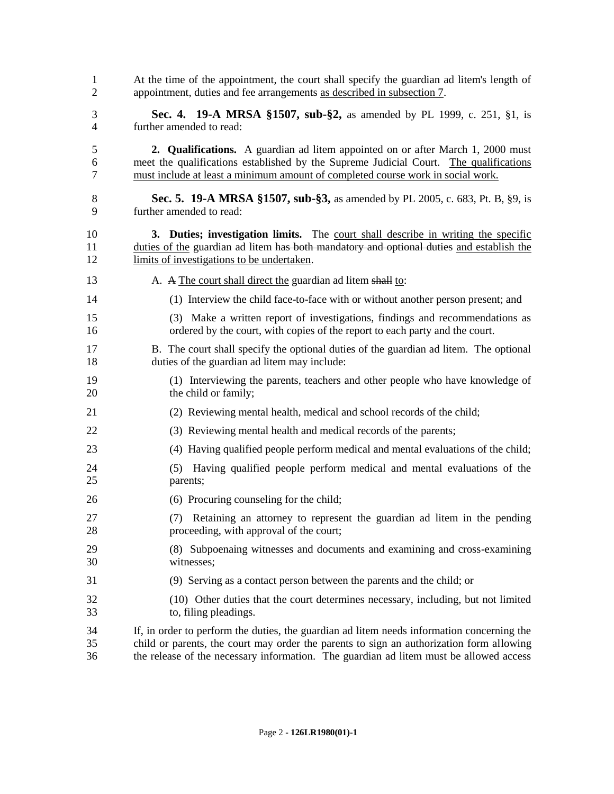| $\mathbf{1}$   | At the time of the appointment, the court shall specify the guardian ad litem's length of                                 |
|----------------|---------------------------------------------------------------------------------------------------------------------------|
| 2              | appointment, duties and fee arrangements as described in subsection 7.                                                    |
| 3              | <b>Sec. 4. 19-A MRSA §1507, sub-§2,</b> as amended by PL 1999, c. 251, §1, is                                             |
| $\overline{4}$ | further amended to read:                                                                                                  |
| 5              | 2. Qualifications. A guardian ad litem appointed on or after March 1, 2000 must                                           |
| 6              | meet the qualifications established by the Supreme Judicial Court. The qualifications                                     |
| 7              | must include at least a minimum amount of completed course work in social work.                                           |
| 8              | Sec. 5. 19-A MRSA §1507, sub-§3, as amended by PL 2005, c. 683, Pt. B, §9, is                                             |
| 9              | further amended to read:                                                                                                  |
| 10             | 3. Duties; investigation limits. The court shall describe in writing the specific                                         |
| 11             | duties of the guardian ad litem has both mandatory and optional duties and establish the                                  |
| 12             | limits of investigations to be undertaken.                                                                                |
| 13             | A. A The court shall direct the guardian ad litem shall to:                                                               |
| 14             | (1) Interview the child face-to-face with or without another person present; and                                          |
| 15             | (3) Make a written report of investigations, findings and recommendations as                                              |
| 16             | ordered by the court, with copies of the report to each party and the court.                                              |
| 17             | B. The court shall specify the optional duties of the guardian ad litem. The optional                                     |
| 18             | duties of the guardian ad litem may include:                                                                              |
| 19             | (1) Interviewing the parents, teachers and other people who have knowledge of                                             |
| 20             | the child or family;                                                                                                      |
| 21             | (2) Reviewing mental health, medical and school records of the child;                                                     |
| 22             | (3) Reviewing mental health and medical records of the parents;                                                           |
| 23             | (4) Having qualified people perform medical and mental evaluations of the child;                                          |
| 24<br>25       | Having qualified people perform medical and mental evaluations of the<br>(5)<br>parents;                                  |
| 26             | (6) Procuring counseling for the child;                                                                                   |
| 27<br>28       | Retaining an attorney to represent the guardian ad litem in the pending<br>(7)<br>proceeding, with approval of the court; |
| 29             | (8) Subpoenaing witnesses and documents and examining and cross-examining                                                 |
| 30             | witnesses;                                                                                                                |
| 31             | (9) Serving as a contact person between the parents and the child; or                                                     |
| 32             | (10) Other duties that the court determines necessary, including, but not limited                                         |
| 33             | to, filing pleadings.                                                                                                     |
| 34             | If, in order to perform the duties, the guardian ad litem needs information concerning the                                |
| 35             | child or parents, the court may order the parents to sign an authorization form allowing                                  |
| 36             | the release of the necessary information. The guardian ad litem must be allowed access                                    |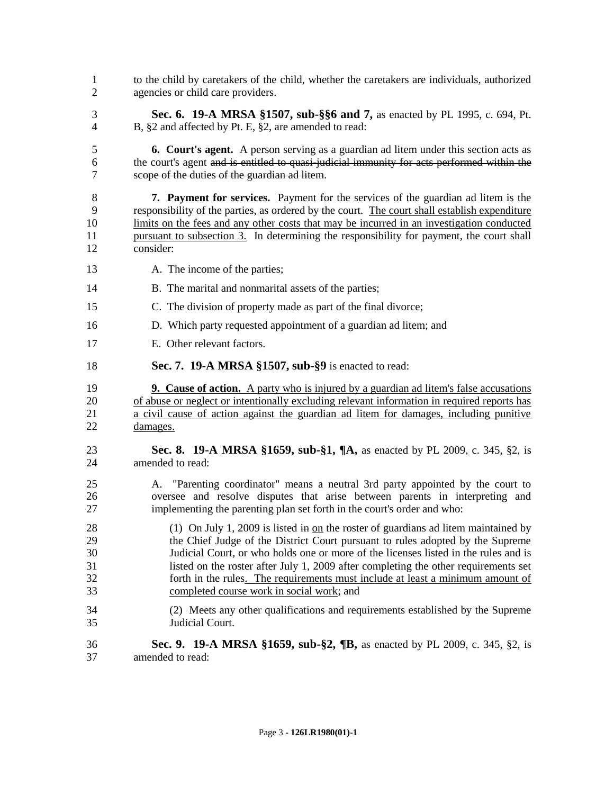to the child by caretakers of the child, whether the caretakers are individuals, authorized agencies or child care providers. **Sec. 6. 19-A MRSA §1507, sub-§§6 and 7,** as enacted by PL 1995, c. 694, Pt. B, §2 and affected by Pt. E, §2, are amended to read: **6. Court's agent.** A person serving as a guardian ad litem under this section acts as the court's agent and is entitled to quasi-judicial immunity for acts performed within the scope of the duties of the guardian ad litem. **7. Payment for services.** Payment for the services of the guardian ad litem is the responsibility of the parties, as ordered by the court. The court shall establish expenditure limits on the fees and any other costs that may be incurred in an investigation conducted 11 pursuant to subsection 3. In determining the responsibility for payment, the court shall consider: 13 A. The income of the parties; 14 B. The marital and nonmarital assets of the parties; C. The division of property made as part of the final divorce; D. Which party requested appointment of a guardian ad litem; and E. Other relevant factors. **Sec. 7. 19-A MRSA §1507, sub-§9** is enacted to read: **9. Cause of action.** A party who is injured by a guardian ad litem's false accusations of abuse or neglect or intentionally excluding relevant information in required reports has a civil cause of action against the guardian ad litem for damages, including punitive damages. **Sec. 8. 19-A MRSA §1659, sub-§1, ¶A,** as enacted by PL 2009, c. 345, §2, is amended to read: A. "Parenting coordinator" means a neutral 3rd party appointed by the court to oversee and resolve disputes that arise between parents in interpreting and implementing the parenting plan set forth in the court's order and who: 28 (1) On July 1, 2009 is listed in <u>on</u> the roster of guardians ad litem maintained by the Chief Judge of the District Court pursuant to rules adopted by the Supreme Judicial Court, or who holds one or more of the licenses listed in the rules and is listed on the roster after July 1, 2009 after completing the other requirements set forth in the rules. The requirements must include at least a minimum amount of completed course work in social work; and (2) Meets any other qualifications and requirements established by the Supreme Judicial Court. **Sec. 9. 19-A MRSA §1659, sub-§2, ¶B,** as enacted by PL 2009, c. 345, §2, is amended to read: